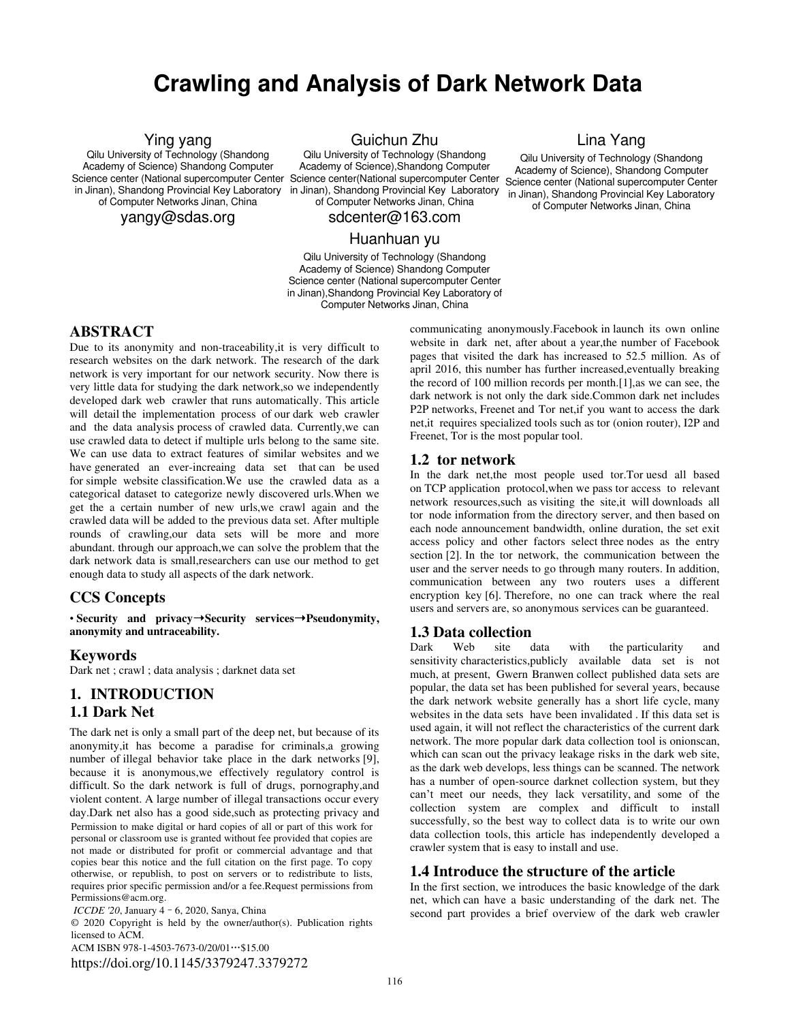# **Crawling and Analysis of Dark Network Data**

### Ying yang

Qilu University of Technology (Shandong Academy of Science) Shandong Computer Science center (National supercomputer Center Science center(National supercomputer Center Science center (National supercomputer Center in Jinan), Shandong Provincial Key Laboratory of Computer Networks Jinan, China

yangy@sdas.org

Guichun Zhu

Qilu University of Technology (Shandong Academy of Science),Shandong Computer in Jinan), Shandong Provincial Key Laboratory of Computer Networks Jinan, China

sdcenter@163.com

### Huanhuan yu

Qilu University of Technology (Shandong Academy of Science) Shandong Computer Science center (National supercomputer Center in Jinan),Shandong Provincial Key Laboratory of Computer Networks Jinan, China

### Lina Yang

Qilu University of Technology (Shandong Academy of Science), Shandong Computer in Jinan), Shandong Provincial Key Laboratory of Computer Networks Jinan, China

### **ABSTRACT**

Due to its anonymity and non-traceability,it is very difficult to research websites on the dark network. The research of the dark network is very important for our network security. Now there is very little data for studying the dark network,so we independently developed dark web crawler that runs automatically. This article will detail the implementation process of our dark web crawler and the data analysis process of crawled data. Currently,we can use crawled data to detect if multiple urls belong to the same site. We can use data to extract features of similar websites and we have generated an ever-increaing data set that can be used for simple website classification.We use the crawled data as a categorical dataset to categorize newly discovered urls.When we get the a certain number of new urls,we crawl again and the crawled data will be added to the previous data set. After multiple rounds of crawling,our data sets will be more and more abundant. through our approach,we can solve the problem that the dark network data is small,researchers can use our method to get enough data to study all aspects of the dark network.

### **CCS Concepts**

• **Security and privacy**➝ **Security services**➝ **Pseudonymity, anonymity and untraceability.**

### **Keywords**

Dark net ; crawl ; data analysis ; darknet data set

### **1. INTRODUCTION 1.1 Dark Net**

The dark net is only a small part of the deep net, but because of its anonymity,it has become a paradise for criminals,a growing number of illegal behavior take place in the dark networks [9], because it is anonymous,we effectively regulatory control is difficult. So the dark network is full of drugs, pornography,and violent content. A large number of illegal transactions occur every day.Dark net also has a good side,such as protecting privacy and Permission to make digital or hard copies of all or part of this work for personal or classroom use is granted without fee provided that copies are not made or distributed for profit or commercial advantage and that copies bear this notice and the full citation on the first page. To copy otherwise, or republish, to post on servers or to redistribute to lists, requires prior specific permission and/or a fee.Request permissions from Permissions@acm.org.

*ICCDE '20*, January 4–6, 2020, Sanya, China

© 2020 Copyright is held by the owner/author(s). Publication rights licensed to ACM.

ACM ISBN 978-1-4503-7673-0/20/01…\$15.00 https://doi.org/10.1145/3379247.3379272 communicating anonymously.Facebook in launch its own online website in dark net, after about a year,the number of Facebook pages that visited the dark has increased to 52.5 million. As of april 2016, this number has further increased,eventually breaking the record of 100 million records per month.[1],as we can see, the dark network is not only the dark side.Common dark net includes P2P networks, Freenet and Tor net,if you want to access the dark net,it requires specialized tools such as tor (onion router), I2P and Freenet, Tor is the most popular tool.

### **1.2 tor network**

In the dark net,the most people used tor.Tor uesd all based on TCP application protocol,when we pass tor access to relevant network resources,such as visiting the site,it will downloads all tor node information from the directory server, and then based on each node announcement bandwidth, online duration, the set exit access policy and other factors select three nodes as the entry section [2]. In the tor network, the communication between the user and the server needs to go through many routers. In addition, communication between any two routers uses a different encryption key [6]. Therefore, no one can track where the real users and servers are, so anonymous services can be guaranteed.

### **1.3 Data collection**

Dark Web site data with the particularity and sensitivity characteristics,publicly available data set is not much, at present, Gwern Branwen collect published data sets are popular, the data set has been published for several years, because the dark network website generally has a short life cycle, many websites in the data sets have been invalidated . If this data set is used again, it will not reflect the characteristics of the current dark network. The more popular dark data collection tool is onionscan, which can scan out the privacy leakage risks in the dark web site, as the dark web develops, less things can be scanned. The network has a number of open-source darknet collection system, but they can't meet our needs, they lack versatility, and some of the collection system are complex and difficult to install successfully, so the best way to collect data is to write our own data collection tools, this article has independently developed a crawler system that is easy to install and use.

### **1.4 Introduce the structure of the article**

In the first section, we introduces the basic knowledge of the dark net, which can have a basic understanding of the dark net. The second part provides a brief overview of the dark web crawler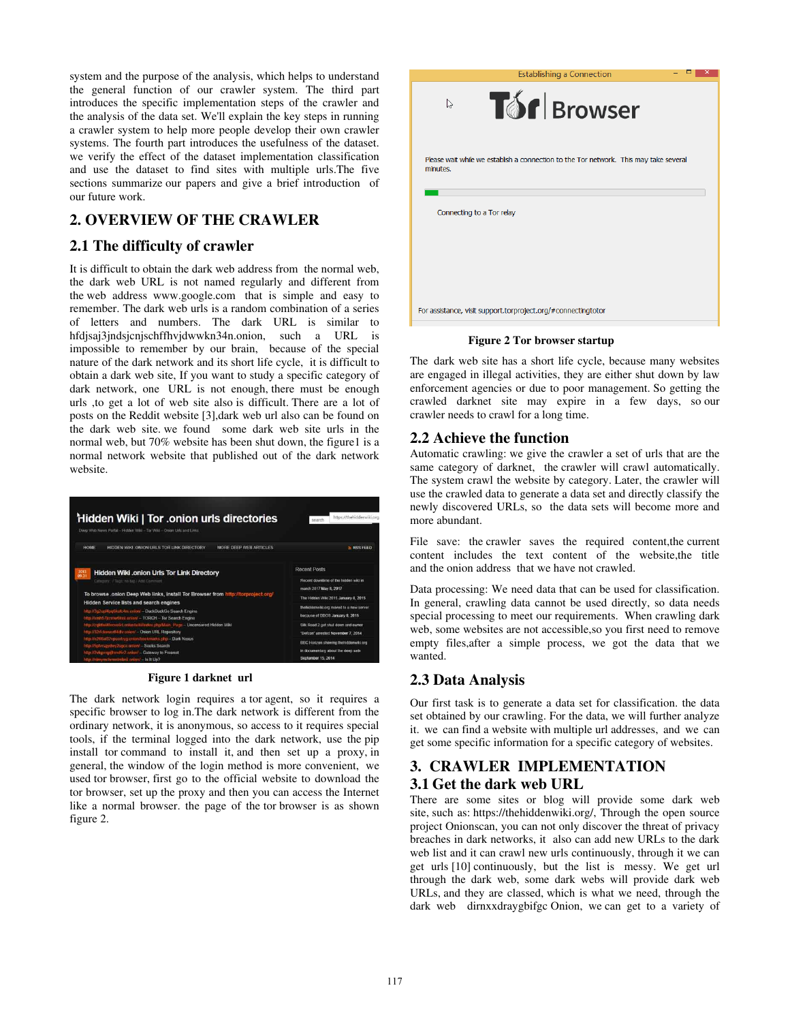system and the purpose of the analysis, which helps to understand the general function of our crawler system. The third part introduces the specific implementation steps of the crawler and the analysis of the data set. We'll explain the key steps in running a crawler system to help more people develop their own crawler systems. The fourth part introduces the usefulness of the dataset. we verify the effect of the dataset implementation classification and use the dataset to find sites with multiple urls.The five sections summarize our papers and give a brief introduction of our future work.

### **2. OVERVIEW OF THE CRAWLER**

### **2.1 The difficulty of crawler**

It is difficult to obtain the dark web address from the normal web, the dark web URL is not named regularly and different from the web address www.google.com that is simple and easy to remember. The dark web urls is a random combination of a series of letters and numbers. The dark URL is similar to hfdjsaj3jndsjcnjschffhvjdwwkn34n.onion, such a URL is impossible to remember by our brain, because of the special nature of the dark network and its short life cycle, it is difficult to obtain a dark web site, If you want to study a specific category of dark network, one URL is not enough, there must be enough urls ,to get a lot of web site also is difficult. There are a lot of posts on the Reddit website [3],dark web url also can be found on the dark web site. we found some dark web site urls in the normal web, but 70% website has been shut down, the figure1 is a normal network website that published out of the dark network website.

| Hidden Wiki   Tor .onion urls directories<br>Deep Web News Portal - Hidden Wild - Tor Wild - Onion Uris and Links                                                                                               | https://thehiddenwiki.org<br>search                                                                                 |  |
|-----------------------------------------------------------------------------------------------------------------------------------------------------------------------------------------------------------------|---------------------------------------------------------------------------------------------------------------------|--|
| MORE DEEP WEB ARTICLES.<br><b>HOME</b><br>HIDDEN WIKI ONION URLS TOR LINK DIRECTORY                                                                                                                             | <b>A RSS FEED</b>                                                                                                   |  |
| 2013<br>Hidden Wiki .onion Urls Tor Link Directory                                                                                                                                                              | <b>Recent Posts</b>                                                                                                 |  |
| Category: / Tags: no tag / Add Comment                                                                                                                                                                          | Recent downtime of the hidden was in<br>march 2017 May 8, 2017                                                      |  |
| To browse .onion Deep Web links, install Tor Browser from http://torproject.org/                                                                                                                                | The Hidden Willi 2015 January 8, 2015<br>thehiddenwild org moved to a new server<br>because of DDOS January 8, 2015 |  |
| Hidden Service lists and search engines<br>http://3g2upl4pqfikufc4m.onlost - DuckDuckGo Search Engine.<br>http://wmh57jrzmw6lrul.cniion/ - TORCH - Tor Search Engine                                            |                                                                                                                     |  |
| http://zgkttwi4/ecve6rt.onion/wiki/index.php/Main-Page - Uncensored Hidden Wiki<br>http://32rfckwater#4div.onicm' - Onion URL Repository                                                                        | Silk Road 2 got stud down and owner.<br>"Defcon" arrested November 7, 2014                                          |  |
| http://w266af32vpoorbyg.onian/bookmarks.php - Dark Nexus<br>http://5phosgydwy2sgc=.onion/ - Seeks Search<br>http://2vlopcopillimit5r2.onion/ - Gateway to Freenet<br>http://nlmymchrmnimbnii.onion/ - is it Up? | BBC Horizon showing thehiddemwiki.org<br>in documentary about the deep with<br>Sectember 15, 2014                   |  |

#### **Figure 1 darknet url**

The dark network login requires a tor agent, so it requires a specific browser to log in.The dark network is different from the ordinary network, it is anonymous, so access to it requires special tools, if the terminal logged into the dark network, use the pip install tor command to install it, and then set up a proxy, in general, the window of the login method is more convenient, we used tor browser, first go to the official website to download the tor browser, set up the proxy and then you can access the Internet like a normal browser. the page of the tor browser is as shown figure 2.

| <b>Establishing a Connection</b>                                                                  |
|---------------------------------------------------------------------------------------------------|
| <b>Tor</b> Browser<br>↳                                                                           |
| Please wait while we establish a connection to the Tor network. This may take several<br>minutes. |
| Connecting to a Tor relay                                                                         |
| For assistance, visit support.torproject.org/#connectingtotor                                     |

**Figure 2 Tor browser startup** 

The dark web site has a short life cycle, because many websites are engaged in illegal activities, they are either shut down by law enforcement agencies or due to poor management. So getting the crawled darknet site may expire in a few days, so our crawler needs to crawl for a long time.

### **2.2 Achieve the function**

Automatic crawling: we give the crawler a set of urls that are the same category of darknet, the crawler will crawl automatically. The system crawl the website by category. Later, the crawler will use the crawled data to generate a data set and directly classify the newly discovered URLs, so the data sets will become more and more abundant.

File save: the crawler saves the required content,the current content includes the text content of the website,the title and the onion address that we have not crawled.

Data processing: We need data that can be used for classification. In general, crawling data cannot be used directly, so data needs special processing to meet our requirements. When crawling dark web, some websites are not accessible,so you first need to remove empty files,after a simple process, we got the data that we wanted.

### **2.3 Data Analysis**

Our first task is to generate a data set for classification. the data set obtained by our crawling. For the data, we will further analyze it. we can find a website with multiple url addresses, and we can get some specific information for a specific category of websites.

## **3. CRAWLER IMPLEMENTATION 3.1 Get the dark web URL**

There are some sites or blog will provide some dark web site, such as: https://thehiddenwiki.org/, Through the open source project Onionscan, you can not only discover the threat of privacy breaches in dark networks, it also can add new URLs to the dark web list and it can crawl new urls continuously, through it we can get urls [10] continuously, but the list is messy. We get url through the dark web, some dark webs will provide dark web URLs, and they are classed, which is what we need, through the dark web dirnxxdraygbifgc Onion, we can get to a variety of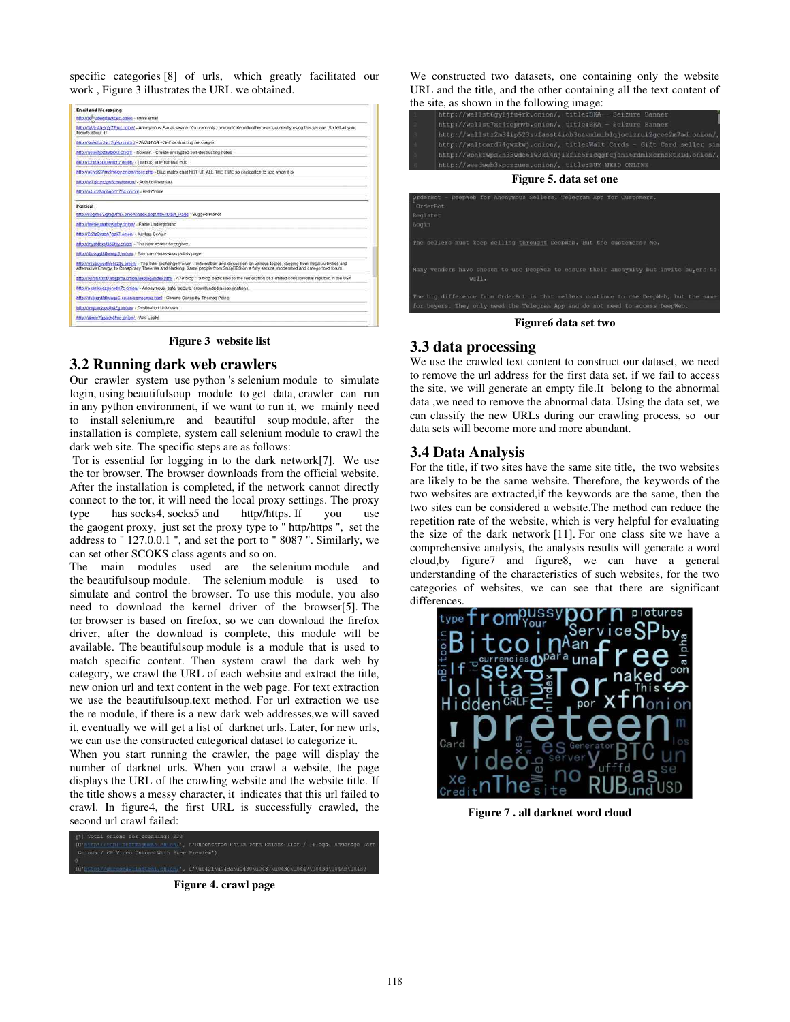specific categories [8] of urls, which greatly facilitated our work , Figure 3 illustrates the URL we obtained.

| <b>Email and Messaging</b>                              |                                                                                                                                                                                                                                                                                          |
|---------------------------------------------------------|------------------------------------------------------------------------------------------------------------------------------------------------------------------------------------------------------------------------------------------------------------------------------------------|
| http://bi <sup>bm</sup> asendayaber_onion - swiss email |                                                                                                                                                                                                                                                                                          |
| thends about it!                                        | http://365g4bs/gfy?2nut.onion/ - Anonymous E-mail sevice. You can only communicate with other users currently using this service. So tell all your                                                                                                                                       |
|                                                         | http://sms4tor3vcr2gelp.cnipn/ - SMS4TOR - Self destructing messages                                                                                                                                                                                                                     |
|                                                         | http://notestoctkwbk6z.onigy/ - NoteBin - Create encrypted self-destructing notes                                                                                                                                                                                                        |
|                                                         | http://forbox3uiof6actiz.onion/ - (TorBox) The Tor Mail Box                                                                                                                                                                                                                              |
|                                                         | http://u6lyst27Imelm6oy.cn/on/index.php - Blue matrix chat NOT UP ALL THE TIME so chek often to see when it is                                                                                                                                                                           |
|                                                         | http://wi7gkxyrdpu5cmvr.gnion/ - Autistici/inventati                                                                                                                                                                                                                                     |
| http://g4uoz3aphgbdc754.phion/ - Hell Online            |                                                                                                                                                                                                                                                                                          |
| Political                                               |                                                                                                                                                                                                                                                                                          |
|                                                         | http://6sg/mi53/gmg7fm7.on/on/index.php?ttte=Main_Page - Bugged Planet                                                                                                                                                                                                                   |
|                                                         | http://faerieusahgyzgby.onion/ - Fakle Underground                                                                                                                                                                                                                                       |
| http://2r2tr5wzgh7gai7.onion/ - Kavkaz Center           |                                                                                                                                                                                                                                                                                          |
|                                                         | http://tnysblbxst356hry.onigo/ - The New Yorker Strongbox                                                                                                                                                                                                                                |
|                                                         | http://duskgytidio.jugo6.onion/ - Example.rendezvous.points.page                                                                                                                                                                                                                         |
|                                                         | fittp://rrcc5ussidh/h4o23c.omion/ - The Inter Exchange Forum : Information and discussion on various topics, ranging from lilegal Activities and<br>Alternative Energy, to Conspiracy Theories and Hacking. Same people from SnapBBS on a fully secure, moderated and categorized forum. |
|                                                         | http://opnjuktryz//intigone.org/neblog/index.html - A7B blog - a blog dedicated to the restoration of a limited constitutional republic in the USA                                                                                                                                       |
|                                                         | http://assinkedzgorodn7o.on/on/ - Anonymous, safe, secure, crowdfunded assassinations.                                                                                                                                                                                                   |
|                                                         | http://duskgytidki/jugo6.enjon/comsense.html - Commo Sense by Thomas Paine                                                                                                                                                                                                               |
|                                                         | http://mwycyryrozlib42g.onion/ - Destination.UnXnown                                                                                                                                                                                                                                     |
| http://zbnnr7gzarik5tms.onion/ - Wiki Leaks             |                                                                                                                                                                                                                                                                                          |

**Figure 3 website list** 

### **3.2 Running dark web crawlers**

Our crawler system use python 's selenium module to simulate login, using beautifulsoup module to get data, crawler can run in any python environment, if we want to run it, we mainly need to install selenium,re and beautiful soup module, after the installation is complete, system call selenium module to crawl the dark web site. The specific steps are as follows:

 Tor is essential for logging in to the dark network[7]. We use the tor browser. The browser downloads from the official website. After the installation is completed, if the network cannot directly connect to the tor, it will need the local proxy settings. The proxy type has socks4, socks5 and http//https. If you use the gaogent proxy, just set the proxy type to " http/https ", set the address to " 127.0.0.1 ", and set the port to " 8087 ". Similarly, we can set other SCOKS class agents and so on.

The main modules used are the selenium module and the beautifulsoup module. The selenium module is used to simulate and control the browser. To use this module, you also need to download the kernel driver of the browser[5]. The tor browser is based on firefox, so we can download the firefox driver, after the download is complete, this module will be available. The beautifulsoup module is a module that is used to match specific content. Then system crawl the dark web by category, we crawl the URL of each website and extract the title, new onion url and text content in the web page. For text extraction we use the beautifulsoup.text method. For url extraction we use the re module, if there is a new dark web addresses,we will saved it, eventually we will get a list of darknet urls. Later, for new urls, we can use the constructed categorical dataset to categorize it.

When you start running the crawler, the page will display the number of darknet urls. When you crawl a website, the page displays the URL of the crawling website and the website title. If the title shows a messy character, it indicates that this url failed to crawl. In figure4, the first URL is successfully crawled, the second url crawl failed:

d Child Para Onions Lier / Tilegal Undersoe Par

**Figure 4. crawl page** 

We constructed two datasets, one containing only the website URL and the title, and the other containing all the text content of the site, as shown in the following image:

|                   | $\sim$ $\sim$<br>http://wallst6gyljfu4rk.onion/, title:BKA - Seizure Banner                                                                        |  |  |  |  |  |
|-------------------|----------------------------------------------------------------------------------------------------------------------------------------------------|--|--|--|--|--|
|                   | http://wallst7xs4tepmvb.onion/, title:BKA - Seizure Banner                                                                                         |  |  |  |  |  |
|                   |                                                                                                                                                    |  |  |  |  |  |
|                   | http://wallstz2m34ip523svfasst4iob3navmlmiblqjocizrui2gcoe2m7ad.onion/,<br>http://waltcard74qwxkwj.onion/, title:Walt Cards - Gift Card seller sin |  |  |  |  |  |
|                   |                                                                                                                                                    |  |  |  |  |  |
|                   | http://wbhkfwps2n33wde61w3ki4njikfie5ricqqfcjshi6rdmlxcrnsxtkid.onion/,                                                                            |  |  |  |  |  |
|                   | http://weedweb3xpczzues.onion/, title:BUY WEED ONLINE                                                                                              |  |  |  |  |  |
|                   | Figure 5. data set one                                                                                                                             |  |  |  |  |  |
| Register<br>Login | DeepWeb for Anonymous Sellers. Telegram App for Customers.<br>OrderBot -<br>OrderRot                                                               |  |  |  |  |  |
|                   | The sellers must keep selling throught DeepWeb. But the customers? No.                                                                             |  |  |  |  |  |
|                   | Many vendors have chosen to use DeepWeb to ensure their anonymity but invite buyers to<br>$w=11$ .                                                 |  |  |  |  |  |
|                   | The big difference from OrderBot is that sellers continue to use DeepWeb, but the same                                                             |  |  |  |  |  |

**Figure6 data set two** 

### **3.3 data processing**

We use the crawled text content to construct our dataset, we need to remove the url address for the first data set, if we fail to access the site, we will generate an empty file.It belong to the abnormal data ,we need to remove the abnormal data. Using the data set, we can classify the new URLs during our crawling process, so our data sets will become more and more abundant.

### **3.4 Data Analysis**

For the title, if two sites have the same site title, the two websites are likely to be the same website. Therefore, the keywords of the two websites are extracted,if the keywords are the same, then the two sites can be considered a website.The method can reduce the repetition rate of the website, which is very helpful for evaluating the size of the dark network [11]. For one class site we have a comprehensive analysis, the analysis results will generate a word cloud,by figure7 and figure8, we can have a general understanding of the characteristics of such websites, for the two categories of websites, we can see that there are significant differences



**Figure 7 . all darknet word cloud**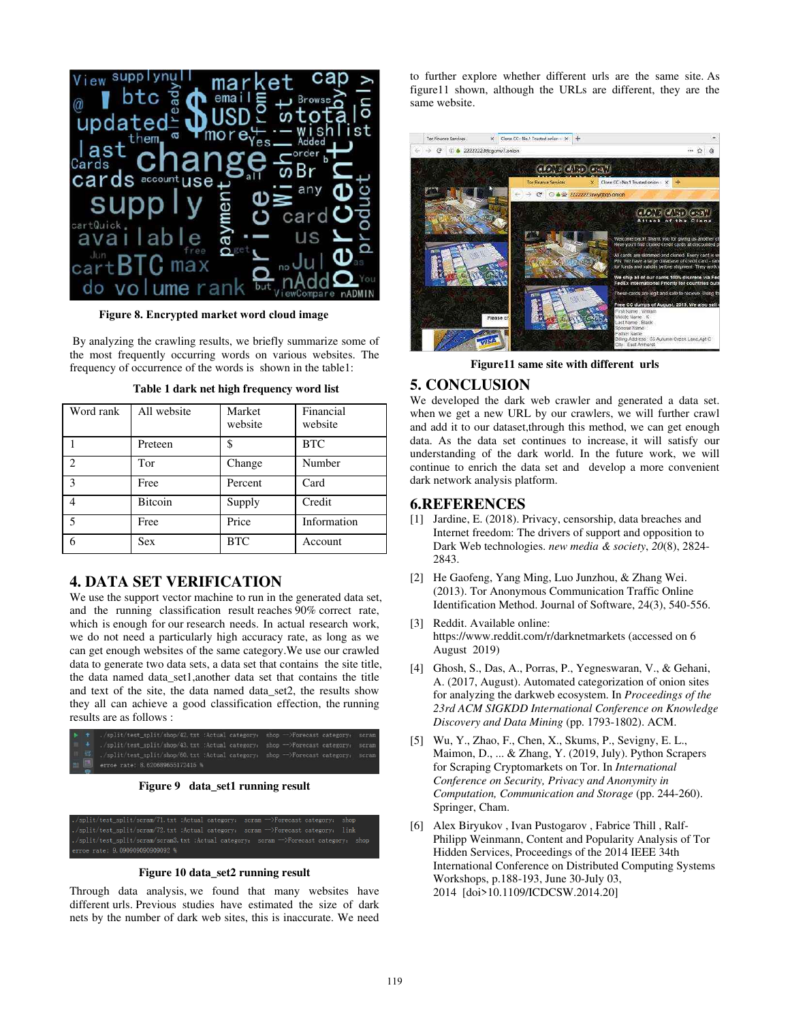

**Figure 8. Encrypted market word cloud image**

By analyzing the crawling results, we briefly summarize some of the most frequently occurring words on various websites. The frequency of occurrence of the words is shown in the table1:

| Word rank                | All website | Market<br>website | Financial<br>website |
|--------------------------|-------------|-------------------|----------------------|
|                          | Preteen     | \$                | <b>BTC</b>           |
| $\mathcal{D}_{\alpha}$   | Tor         | Change            | Number               |
| $\mathcal{E}$            | Free        | Percent           | Card                 |
| 4                        | Bitcoin     | Supply            | Credit               |
| $\overline{\phantom{0}}$ | Free        | Price             | Information          |
| 6                        | <b>Sex</b>  | <b>BTC</b>        | Account              |

**Table 1 dark net high frequency word list** 

### **4. DATA SET VERIFICATION**

We use the support vector machine to run in the generated data set, and the running classification result reaches 90% correct rate, which is enough for our research needs. In actual research work, we do not need a particularly high accuracy rate, as long as we can get enough websites of the same category.We use our crawled data to generate two data sets, a data set that contains the site title, the data named data\_set1,another data set that contains the title and text of the site, the data named data\_set2, the results show they all can achieve a good classification effection, the running results are as follows :





**Figure 10 data\_set2 running result** 

Through data analysis, we found that many websites have different urls. Previous studies have estimated the size of dark nets by the number of dark web sites, this is inaccurate. We need

to further explore whether different urls are the same site. As figure11 shown, although the URLs are different, they are the same website.



**Figure11 same site with different urls** 

### **5. CONCLUSION**

We developed the dark web crawler and generated a data set. when we get a new URL by our crawlers, we will further crawl and add it to our dataset, through this method, we can get enough data. As the data set continues to increase, it will satisfy our understanding of the dark world. In the future work, we will continue to enrich the data set and develop a more convenient dark network analysis platform.

### **6.REFERENCES**

- [1] Jardine, E. (2018). Privacy, censorship, data breaches and Internet freedom: The drivers of support and opposition to Dark Web technologies. *new media & society*, *20*(8), 2824- 2843.
- [2] He Gaofeng, Yang Ming, Luo Junzhou, & Zhang Wei. (2013). Tor Anonymous Communication Traffic Online Identification Method. Journal of Software, 24(3), 540-556.
- [3] Reddit. Available online: https://www.reddit.com/r/darknetmarkets (accessed on 6 August 2019)
- [4] Ghosh, S., Das, A., Porras, P., Yegneswaran, V., & Gehani, A. (2017, August). Automated categorization of onion sites for analyzing the darkweb ecosystem. In *Proceedings of the 23rd ACM SIGKDD International Conference on Knowledge Discovery and Data Mining* (pp. 1793-1802). ACM.
- [5] Wu, Y., Zhao, F., Chen, X., Skums, P., Sevigny, E. L., Maimon, D., ... & Zhang, Y. (2019, July). Python Scrapers for Scraping Cryptomarkets on Tor. In *International Conference on Security, Privacy and Anonymity in Computation, Communication and Storage* (pp. 244-260). Springer, Cham.
- [6] Alex Biryukov , Ivan Pustogarov , Fabrice Thill , Ralf-Philipp Weinmann, Content and Popularity Analysis of Tor Hidden Services, Proceedings of the 2014 IEEE 34th International Conference on Distributed Computing Systems Workshops, p.188-193, June 30-July 03, 2014 [doi>10.1109/ICDCSW.2014.20]